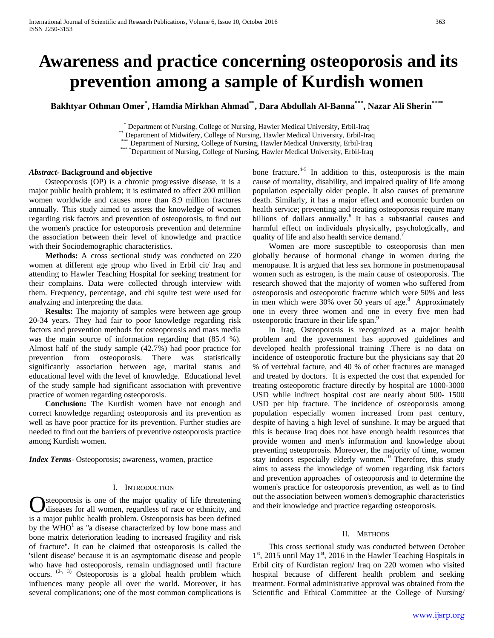# **Awareness and practice concerning osteoporosis and its prevention among a sample of Kurdish women**

**Bakhtyar Othman Omer\* , Hamdia Mirkhan Ahmad\*\*, Dara Abdullah Al-Banna\*\*\*, Nazar Ali Sherin\*\*\*\***

\* Department of Nursing, College of Nursing, Hawler Medical University, Erbil-Iraq<br>\*\* Department of Midwifery, College of Nursing, Hawler Medical University, Erbil-Iraq<br>\*\*\* Department of Nursing, College of Nursing, Hawler

## *Abstract***- Background and objective**

 Osteoporosis (OP) is a chronic progressive disease, it is a major public health problem; it is estimated to affect 200 million women worldwide and causes more than 8.9 million fractures annually. This study aimed to assess the knowledge of women regarding risk factors and prevention of osteoporosis, to find out the women's practice for osteoporosis prevention and determine the association between their level of knowledge and practice with their Sociodemographic characteristics.

 **Methods:** A cross sectional study was conducted on 220 women at different age group who lived in Erbil cit/ Iraq and attending to Hawler Teaching Hospital for seeking treatment for their complains. Data were collected through interview with them. Frequency, percentage, and chi squire test were used for analyzing and interpreting the data.

 **Results:** The majority of samples were between age group 20-34 years. They had fair to poor knowledge regarding risk factors and prevention methods for osteoporosis and mass media was the main source of information regarding that (85.4 %). Almost half of the study sample (42.7%) had poor practice for prevention from osteoporosis. There was statistically significantly association between age, marital status and educational level with the level of knowledge. Educational level of the study sample had significant association with preventive practice of women regarding osteoporosis.

 **Conclusion:** The Kurdish women have not enough and correct knowledge regarding osteoporosis and its prevention as well as have poor practice for its prevention. Further studies are needed to find out the barriers of preventive osteoporosis practice among Kurdish women.

*Index Terms*- Osteoporosis; awareness, women, practice

## I. INTRODUCTION

steoporosis is one of the major quality of life threatening diseases for all women, regardless of race or ethnicity, and **C** steoporosis is one of the major quality of life threatening diseases for all women, regardless of race or ethnicity, and is a major public health problem. Osteoporosis has been defined by the  $WHO<sup>1</sup>$  as "a disease characterized by low bone mass and bone matrix deterioration leading to increased fragility and risk of fracture''. It can be claimed that osteoporosis is called the 'silent disease' because it is an asymptomatic disease and people who have had osteoporosis, remain undiagnosed until fracture occurs.  $(2, 3)$  Osteoporosis is a global health problem which influences many people all over the world. Moreover, it has several complications; one of the most common complications is

bone fracture. $4-5$  In addition to this, osteoporosis is the main cause of mortality, disability, and impaired quality of life among population especially older people. It also causes of premature death. Similarly, it has a major effect and economic burden on health service; preventing and treating osteoporosis require many billions of dollars annually.<sup>6</sup> It has a substantial causes and harmful effect on individuals physically, psychologically, and quality of life and also health service demand.

 Women are more susceptible to osteoporosis than men globally because of hormonal change in women during the menopause. It is argued that less sex hormone in postmenopausal women such as estrogen, is the main cause of osteoporosis. The research showed that the majority of women who suffered from osteoporosis and osteoporotic fracture which were 50% and less in men which were  $30\%$  over 50 years of age.<sup>8</sup> Approximately one in every three women and one in every five men had osteoporotic fracture in their life span.<sup>9</sup>

 In Iraq, Osteoporosis is recognized as a major health problem and the government has approved guidelines and developed health professional training .There is no data on incidence of osteoporotic fracture but the physicians say that 20 % of vertebral facture, and 40 % of other fractures are managed and treated by doctors. It is expected the cost that expended for treating osteoporotic fracture directly by hospital are 1000-3000 USD while indirect hospital cost are nearly about 500- 1500 USD per hip fracture. The incidence of osteoporosis among population especially women increased from past century, despite of having a high level of sunshine. It may be argued that this is because Iraq does not have enough health resources that provide women and men's information and knowledge about preventing osteoporosis. Moreover, the majority of time, women stay indoors especially elderly women.<sup>10</sup> Therefore, this study aims to assess the knowledge of women regarding risk factors and prevention approaches of osteoporosis and to determine the women's practice for osteoporosis prevention, as well as to find out the association between women's demographic characteristics and their knowledge and practice regarding osteoporosis.

## II. METHODS

 This cross sectional study was conducted between October 1<sup>st</sup>, 2015 until May 1<sup>st</sup>, 2016 in the Hawler Teaching Hospitals in Erbil city of Kurdistan region/ Iraq on 220 women who visited hospital because of different health problem and seeking treatment. Formal administrative approval was obtained from the Scientific and Ethical Committee at the College of Nursing/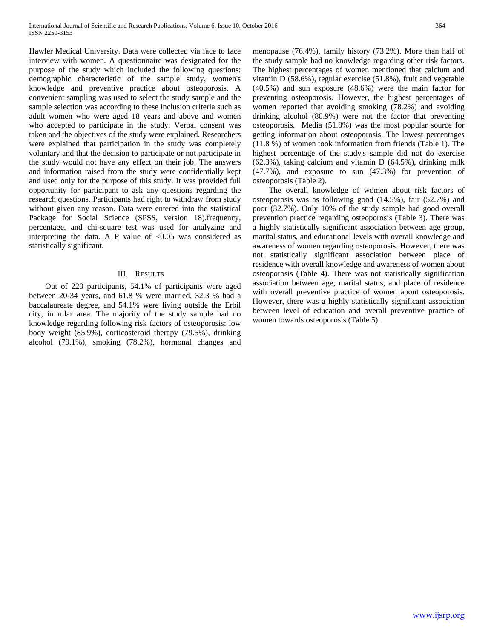Hawler Medical University. Data were collected via face to face interview with women. A questionnaire was designated for the purpose of the study which included the following questions: demographic characteristic of the sample study, women's knowledge and preventive practice about osteoporosis. A convenient sampling was used to select the study sample and the sample selection was according to these inclusion criteria such as adult women who were aged 18 years and above and women who accepted to participate in the study. Verbal consent was taken and the objectives of the study were explained. Researchers were explained that participation in the study was completely voluntary and that the decision to participate or not participate in the study would not have any effect on their job. The answers and information raised from the study were confidentially kept and used only for the purpose of this study. It was provided full opportunity for participant to ask any questions regarding the research questions. Participants had right to withdraw from study without given any reason. Data were entered into the statistical Package for Social Science (SPSS, version 18).frequency, percentage, and chi-square test was used for analyzing and interpreting the data. A P value of  $\langle 0.05 \rangle$  was considered as statistically significant.

## III. RESULTS

 Out of 220 participants, 54.1% of participants were aged between 20-34 years, and 61.8 % were married, 32.3 % had a baccalaureate degree, and 54.1% were living outside the Erbil city, in rular area. The majority of the study sample had no knowledge regarding following risk factors of osteoporosis: low body weight (85.9%), corticosteroid therapy (79.5%), drinking alcohol (79.1%), smoking (78.2%), hormonal changes and menopause (76.4%), family history (73.2%). More than half of the study sample had no knowledge regarding other risk factors. The highest percentages of women mentioned that calcium and vitamin D (58.6%), regular exercise (51.8%), fruit and vegetable (40.5%) and sun exposure (48.6%) were the main factor for preventing osteoporosis. However, the highest percentages of women reported that avoiding smoking (78.2%) and avoiding drinking alcohol (80.9%) were not the factor that preventing osteoporosis. Media (51.8%) was the most popular source for getting information about osteoporosis. The lowest percentages (11.8 %) of women took information from friends (Table 1). The highest percentage of the study's sample did not do exercise (62.3%), taking calcium and vitamin D (64.5%), drinking milk (47.7%), and exposure to sun (47.3%) for prevention of osteoporosis (Table 2).

 The overall knowledge of women about risk factors of osteoporosis was as following good (14.5%), fair (52.7%) and poor (32.7%). Only 10% of the study sample had good overall prevention practice regarding osteoporosis (Table 3). There was a highly statistically significant association between age group, marital status, and educational levels with overall knowledge and awareness of women regarding osteoporosis. However, there was not statistically significant association between place of residence with overall knowledge and awareness of women about osteoporosis (Table 4). There was not statistically signification association between age, marital status, and place of residence with overall preventive practice of women about osteoporosis. However, there was a highly statistically significant association between level of education and overall preventive practice of women towards osteoporosis (Table 5).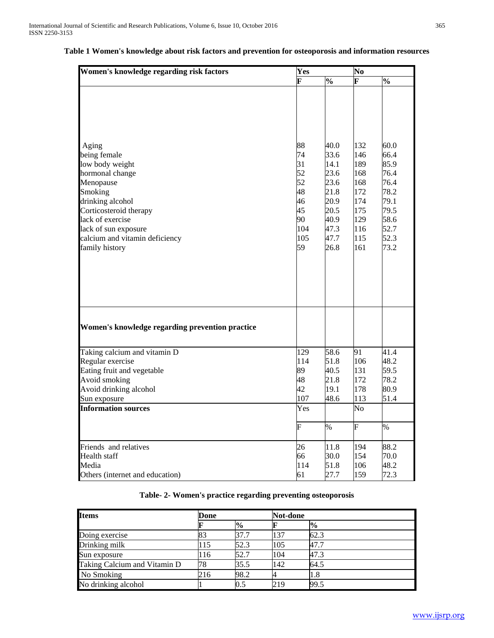| Women's knowledge regarding risk factors                                                                                                                                                                                          | Yes                                                                    |                                                                                              |                                                                                  | .<br>No                                                                                      |  |  |
|-----------------------------------------------------------------------------------------------------------------------------------------------------------------------------------------------------------------------------------|------------------------------------------------------------------------|----------------------------------------------------------------------------------------------|----------------------------------------------------------------------------------|----------------------------------------------------------------------------------------------|--|--|
|                                                                                                                                                                                                                                   | F                                                                      | $\sqrt{6}$                                                                                   | F                                                                                | $\sqrt{6}$                                                                                   |  |  |
| Aging<br>being female<br>low body weight<br>hormonal change<br>Menopause<br>Smoking<br>drinking alcohol<br>Corticosteroid therapy<br>lack of exercise<br>lack of sun exposure<br>calcium and vitamin deficiency<br>family history | 88<br>74<br>31<br>52<br>52<br>48<br>46<br>45<br>90<br>104<br>105<br>59 | 40.0<br>33.6<br>14.1<br>23.6<br>23.6<br>21.8<br>20.9<br>20.5<br>40.9<br>47.3<br>47.7<br>26.8 | 132<br>146<br>189<br>168<br>168<br>172<br>174<br>175<br>129<br>116<br>115<br>161 | 60.0<br>66.4<br>85.9<br>76.4<br>76.4<br>78.2<br>79.1<br>79.5<br>58.6<br>52.7<br>52.3<br>73.2 |  |  |
| Women's knowledge regarding prevention practice                                                                                                                                                                                   |                                                                        |                                                                                              |                                                                                  |                                                                                              |  |  |
| Taking calcium and vitamin D<br>Regular exercise<br>Eating fruit and vegetable<br>Avoid smoking<br>Avoid drinking alcohol<br>Sun exposure                                                                                         | 129<br>114<br>89<br>48<br>42<br>107                                    | 58.6<br>51.8<br>40.5<br>21.8<br>19.1<br>48.6                                                 | 91<br>106<br>131<br>172<br>178<br>113                                            | 41.4<br>48.2<br>59.5<br>78.2<br>80.9<br>51.4                                                 |  |  |
| <b>Information sources</b>                                                                                                                                                                                                        | Yes                                                                    |                                                                                              | No.                                                                              |                                                                                              |  |  |
|                                                                                                                                                                                                                                   | $\overline{\mathrm{F}}$                                                | $\frac{9}{6}$                                                                                | $\boldsymbol{\mathsf F}$                                                         | $\%$                                                                                         |  |  |
| Friends and relatives<br><b>Health</b> staff<br>Media<br>Others (internet and education)                                                                                                                                          | 26<br>66<br>114<br>61                                                  | 11.8<br>30.0<br>51.8<br>27.7                                                                 | 194<br>154<br>106<br>159                                                         | 88.2<br>70.0<br>48.2<br>72.3                                                                 |  |  |

## **Table 1 Women's knowledge about risk factors and prevention for osteoporosis and information resources**

**Table- 2- Women's practice regarding preventing osteoporosis**

| <b>Items</b>                 | Done |               |     | Not-done       |  |  |  |
|------------------------------|------|---------------|-----|----------------|--|--|--|
|                              |      | $\frac{6}{9}$ |     | $\frac{10}{6}$ |  |  |  |
| Doing exercise               | 83   | 37.7          | 137 | 62.3           |  |  |  |
| Drinking milk                | 115  | 52.3          | 105 | 47.7           |  |  |  |
| Sun exposure                 | 116  | 52.7          | 104 | 47.3           |  |  |  |
| Taking Calcium and Vitamin D | 78   | 35.5          | 142 | 64.5           |  |  |  |
| No Smoking                   | 216  | 98.2          |     | 1.8            |  |  |  |
| No drinking alcohol          |      | 0.5           | 219 | 99.5           |  |  |  |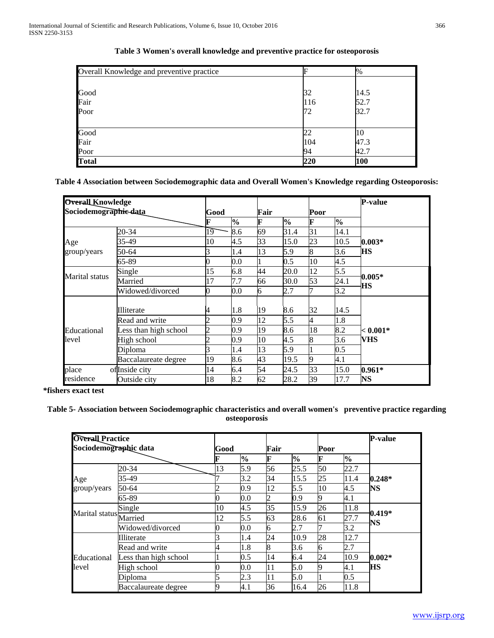| Overall Knowledge and preventive practice |     | $\%$ |
|-------------------------------------------|-----|------|
|                                           |     |      |
| Good                                      | 32  | 14.5 |
| Fair                                      | 116 | 52.7 |
| Poor                                      | 72  | 32.7 |
| Good                                      | 22  | 10   |
| Fair                                      | 104 | 47.3 |
| Poor                                      | 94  | 42.7 |
| <b>Total</b>                              | 220 | 100  |

| Table 3 Women's overall knowledge and preventive practice for osteoporosis |  |
|----------------------------------------------------------------------------|--|
|----------------------------------------------------------------------------|--|

**Table 4 Association between Sociodemographic data and Overall Women's Knowledge regarding Osteoporosis:**

| <b>Overall Knowledge</b> |                       |      |               |      |      |      |               | <b>P-value</b> |
|--------------------------|-----------------------|------|---------------|------|------|------|---------------|----------------|
| Sociodemographie-data    |                       | Good |               | Fair |      | Poor |               |                |
|                          |                       |      | $\frac{6}{9}$ | F    | $\%$ | F    | $\frac{1}{2}$ |                |
|                          | 20-34                 | 19   | 8.6           | 69   | 31.4 | 31   | 14.1          |                |
| Age                      | 35-49                 | 10   | 4.5           | 33   | 15.0 | 23   | 10.5          | $0.003*$       |
| group/years              | 50-64                 |      | 1.4           | 13   | 5.9  | 8    | 3.6           | HS             |
|                          | 65-89                 |      | 0.0           |      | 0.5  | 10   | 4.5           |                |
|                          | Single                | 15   | 6.8           | 44   | 20.0 | 12   | 5.5           |                |
| Marital status           | Married               | 17   | 7.7           | 66   | 30.0 | 53   | 24.1          | $0.005*$<br>НS |
|                          | Widowed/divorced      | 0    | 0.0           | 6    | 2.7  |      | 3.2           |                |
|                          | Illiterate            | 4    | 1.8           | 19   | 8.6  | 32   | 14.5          |                |
|                          | Read and write        |      | 0.9           | 12   | 5.5  | 4    | 1.8           |                |
| Educational              | Less than high school | っ    | 0.9           | 19   | 8.6  | 18   | 8.2           | $< 0.001*$     |
| level                    | High school           |      | 0.9           | 10   | 4.5  | 8    | 3.6           | VHS            |
|                          | Diploma               |      | 1.4           | 13   | 5.9  |      | $0.5\,$       |                |
|                          | Baccalaureate degree  | 19   | 8.6           | 43   | 19.5 | q    | 4.1           |                |
| place                    | oflInside city        | 14   | 6.4           | 54   | 24.5 | 33   | 15.0          | $0.961*$       |
| residence                | Outside city          | 18   | 8.2           | 62   | 28.2 | 39   | 17.7          | NS             |

 **\*fishers exact test** 

# **Table 5- Association between Sociodemographic characteristics and overall women's preventive practice regarding osteoporosis**

| Overall Practice          |                       |      |               |      |      |      |               | <b>P-value</b> |
|---------------------------|-----------------------|------|---------------|------|------|------|---------------|----------------|
| Sociodemographic data     |                       | Good |               | Fair |      | Poor |               |                |
|                           |                       |      | $\frac{0}{0}$ | F    | $\%$ |      | $\frac{0}{0}$ |                |
|                           | 20-34                 | 13   | 5.9           | 56   | 25.5 | 50   | 22.7          |                |
| Age                       | 35-49                 |      | 3.2           | 34   | 15.5 | 25   | 11.4          | $0.248*$       |
| group/years               | 50-64                 |      | 0.9           | 12   | 5.5  | 10   | 4.5           | NS             |
|                           | 65-89                 |      | 0.0           | 2    | 0.9  |      | 4.1           |                |
| Marital status<br>Married | Single                | 10   | 4.5           | 35   | 15.9 | 26   | 11.8          |                |
|                           |                       | 12   | 5.5           | 63   | 28.6 | 61   | 27.7          | $0.419*$<br>NS |
|                           | Widowed/divorced      |      | 0.0           | 6    | 2.7  |      | 3.2           |                |
|                           | Illiterate            |      | 1.4           | 24   | 10.9 | 28   | 12.7          |                |
|                           | Read and write        |      | 1.8           | 8    | 3.6  | 6    | 2.7           |                |
| Educational<br>level      | Less than high school |      | 0.5           | 14   | 6.4  | 24   | 10.9          | $0.002*$       |
|                           | High school           |      | 0.0           | 11   | 5.0  |      | 4.1           | HS             |
|                           | Diploma               |      | 2.3           | 11   | 5.0  |      | 0.5           |                |
|                           | Baccalaureate degree  |      | 4.1           | 36   | 16.4 | 26   | 11.8          |                |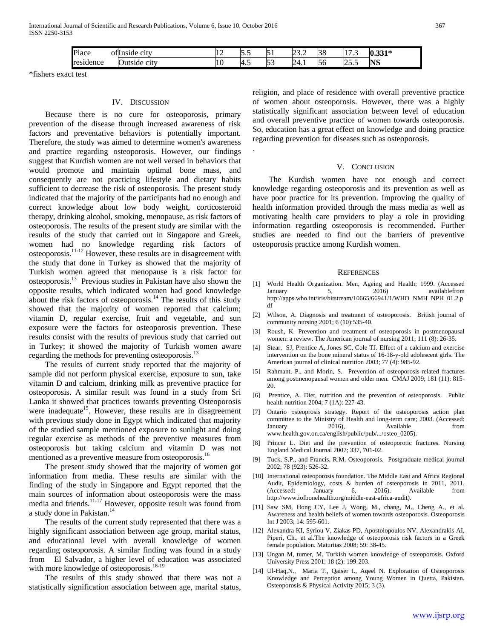International Journal of Scientific and Research Publications, Volume 6, Issue 10, October 2016 367 ISSN 2250-3153

| D<br>'lace        | ofilmside<br><b>C1U</b>     | .  | -<br>-<br>ິ          |              | $\sim$<br>$\sim$<br>-<br>. | $\sim$<br>IJΟ | $\sim$<br>.<br>. .                     | $\sim$ $\sim$ $\sim$<br>0.33 |
|-------------------|-----------------------------|----|----------------------|--------------|----------------------------|---------------|----------------------------------------|------------------------------|
| sidence:<br>resid | r<br><b>C1LV</b><br>Jutside | ΠU | -<br><sup>4. .</sup> | $\sim$<br>ື້ | ∽<br>74.1                  | . .<br>DО     | $\overline{\phantom{0}}$<br>-<br>ن د ک | NS                           |

.

\*fishers exact test

## IV. DISCUSSION

 Because there is no cure for osteoporosis, primary prevention of the disease through increased awareness of risk factors and preventative behaviors is potentially important. Therefore, the study was aimed to determine women's awareness and practice regarding osteoporosis. However, our findings suggest that Kurdish women are not well versed in behaviors that would promote and maintain optimal bone mass, and consequently are not practicing lifestyle and dietary habits sufficient to decrease the risk of osteoporosis. The present study indicated that the majority of the participants had no enough and correct knowledge about low body weight, corticosteroid therapy, drinking alcohol, smoking, menopause, as risk factors of osteoporosis. The results of the present study are similar with the results of the study that carried out in Singapore and Greek, women had no knowledge regarding risk factors of osteoporosis.11-12 However, these results are in disagreement with the study that done in Turkey as showed that the majority of Turkish women agreed that menopause is a risk factor for osteoporosis.13 Previous studies in Pakistan have also shown the opposite results, which indicated women had good knowledge about the risk factors of osteoporosis.<sup>14</sup> The results of this study showed that the majority of women reported that calcium; vitamin D, regular exercise, fruit and vegetable, and sun exposure were the factors for osteoporosis prevention. These results consist with the results of previous study that carried out in Turkey; it showed the majority of Turkish women aware regarding the methods for preventing osteoporosis.<sup>13</sup>

 The results of current study reported that the majority of sample did not perform physical exercise, exposure to sun, take vitamin D and calcium, drinking milk as preventive practice for osteoporosis. A similar result was found in a study from Sri Lanka it showed that practices towards preventing Osteoporosis were inadequate<sup>15</sup>. However, these results are in disagreement with previous study done in Egypt which indicated that majority of the studied sample mentioned exposure to sunlight and doing regular exercise as methods of the preventive measures from osteoporosis but taking calcium and vitamin D was not mentioned as a preventive measure from osteoporosis.<sup>16</sup>

 The present study showed that the majority of women got information from media. These results are similar with the finding of the study in Singapore and Egypt reported that the main sources of information about osteoporosis were the mass media and friends.<sup>11-17</sup> However, opposite result was found from a study done in Pakistan.<sup>14</sup>

 The results of the current study represented that there was a highly significant association between age group, marital status, and educational level with overall knowledge of women regarding osteoporosis. A similar finding was found in a study from El Salvador, a higher level of education was associated with more knowledge of osteoporosis.<sup>18-19</sup>

 The results of this study showed that there was not a statistically signification association between age, marital status, religion, and place of residence with overall preventive practice of women about osteoporosis. However, there was a highly statistically significant association between level of education and overall preventive practice of women towards osteoporosis. So, education has a great effect on knowledge and doing practice regarding prevention for diseases such as osteoporosis.

## V. CONCLUSION

 The Kurdish women have not enough and correct knowledge regarding osteoporosis and its prevention as well as have poor practice for its prevention. Improving the quality of health information provided through the mass media as well as motivating health care providers to play a role in providing information regarding osteoporosis is recommended**.** Further studies are needed to find out the barriers of preventive osteoporosis practice among Kurdish women.

#### **REFERENCES**

- [1] World Health Organization. Men, Ageing and Health; 1999. (Accessed January 5, 2016) availablefrom http://apps.who.int/iris/bitstream/10665/66941/1/WHO\_NMH\_NPH\_01.2.p df
- [2] Wilson, A. Diagnosis and treatment of osteoporosis. British journal of community nursing 2001; 6 (10):535-40.
- [3] Roush, K. Prevention and treatment of osteoporosis in postmenopausal women: a review. The American journal of nursing 2011; 111 (8): 26-35.
- [4] Stear, SJ, Prentice A, Jones SC, Cole TJ. Effect of a calcium and exercise intervention on the bone mineral status of 16-18-y-old adolescent girls. The American journal of clinical nutrition 2003; 77 (4): 985-92.
- [5] Rahmant, P., and Morin, S. Prevention of osteoporosis-related fractures among postmenopausal women and older men. CMAJ 2009; 181 (11): 815- 20.
- [6] Prentice, A. Diet, nutrition and the prevention of osteoporosis. Public health nutrition 2004; 7 (1A): 227-43.
- [7] Ontario osteoprosis strategy. Report of the osteoporosis action plan committee to the Ministry of Health and long-term care; 2003. (Accessed: January 2016), Available from www.health.gov.on.ca/english/public/pub/.../osteo\_0205).
- [8] Princer L. Diet and the prevention of osteoporotic fractures. Nursing England Medical Journal 2007; 337, 701-02.
- [9] Tuck, S.P., and Francis, R.M. Osteoporosis. Postgraduate medical journal 2002; 78 (923): 526-32.
- [10] International osteoporosis foundation. The Middle East and Africa Regional Audit, Epidemiology, costs & burden of osteoporosis in 2011, 2011. (Accessed: January 6, 2016). Available from http://www.iofbonehealth.org/middle-east-africa-audit).
- [11] Saw SM, Hong CY, Lee J, Wong, M., chang, M., Cheng A., et al. Awareness and health beliefs of women towards osteoporosis. Osteoporosis Int J 2003; 14: 595-601.
- [12] Alexandra KI, Syriou V, Ziakas PD, Apostolopoulos NV, Alexandrakis AI, Piperi, Ch., et al.The knowledge of osteoporosis risk factors in a Greek female population. Maturitas 2008; 59: 38-45.
- [13] Ungan M, tumer, M. Turkish women knowledge of osteoporosis. Oxford University Press 2001; 18 (2): 199-203.
- [14] Ul-Haq,N., Maria T., Qaiser I., Aqeel N. Exploration of Osteoporosis Knowledge and Perception among Young Women in Quetta, Pakistan. Osteoporosis & Physical Activity 2015; 3 (3).